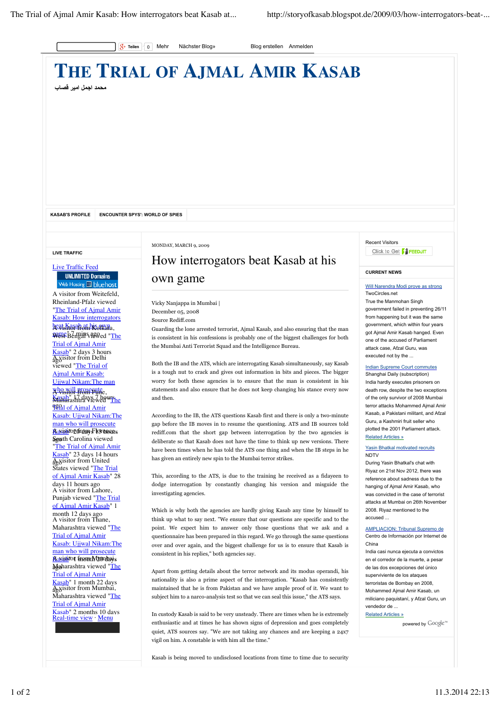